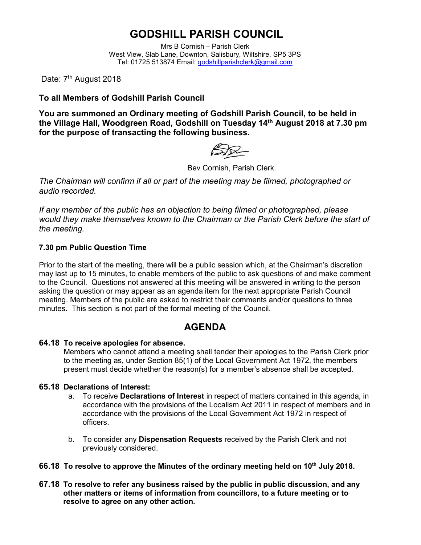# **GODSHILL PARISH COUNCIL**

Mrs B Cornish – Parish Clerk West View, Slab Lane, Downton, Salisbury, Wiltshire. SP5 3PS Tel: 01725 513874 Email: [godshillparishclerk@gmail.com](mailto:godshillparishclerk@gmail.com)

Date: 7<sup>th</sup> August 2018

### **To all Members of Godshill Parish Council**

**You are summoned an Ordinary meeting of Godshill Parish Council, to be held in the Village Hall, Woodgreen Road, Godshill on Tuesday 14 th August 2018 at 7.30 pm for the purpose of transacting the following business.**

Bev Cornish, Parish Clerk.

*The Chairman will confirm if all or part of the meeting may be filmed, photographed or audio recorded.*

*If any member of the public has an objection to being filmed or photographed, please would they make themselves known to the Chairman or the Parish Clerk before the start of the meeting.*

#### **7.30 pm Public Question Time**

Prior to the start of the meeting, there will be a public session which, at the Chairman's discretion may last up to 15 minutes, to enable members of the public to ask questions of and make comment to the Council. Questions not answered at this meeting will be answered in writing to the person asking the question or may appear as an agenda item for the next appropriate Parish Council meeting. Members of the public are asked to restrict their comments and/or questions to three minutes. This section is not part of the formal meeting of the Council.

## **AGENDA**

#### **64.18 To receive apologies for absence.**

Members who cannot attend a meeting shall tender their apologies to the Parish Clerk prior to the meeting as, under Section 85(1) of the Local Government Act 1972, the members present must decide whether the reason(s) for a member's absence shall be accepted.

#### **65.18 Declarations of Interest:**

- a. To receive **Declarations of Interest** in respect of matters contained in this agenda, in accordance with the provisions of the Localism Act 2011 in respect of members and in accordance with the provisions of the Local Government Act 1972 in respect of officers.
- b. To consider any **Dispensation Requests** received by the Parish Clerk and not previously considered.
- **66.18 To resolve to approve the Minutes of the ordinary meeting held on 10th July 2018.**
- **67.18 To resolve to refer any business raised by the public in public discussion, and any other matters or items of information from councillors, to a future meeting or to resolve to agree on any other action.**